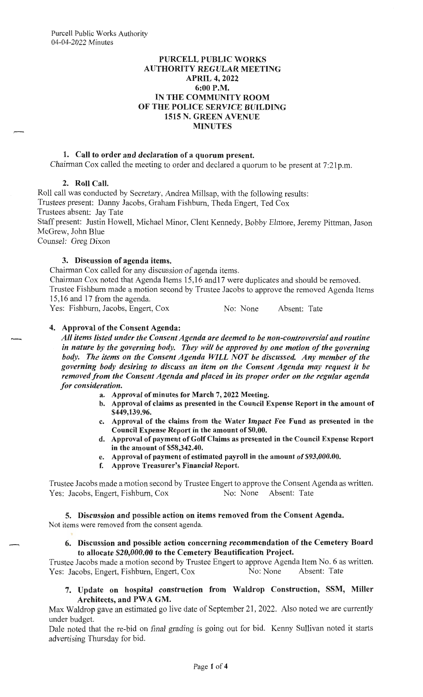#### **PURCELL PUBLIC WORKS AUTHORITY REGULAR MEETING APRIL 4, 2022 6:00P.M. IN THE COMMUNITY ROOM OF THE POLICE SERVICE BUILDING 1515 N. GREEN A VENUE MINUTES**

## **1. Call to order and declaration of a quorum present.**

Chairman Cox called the meeting to order and declared a quorum to be present at 7:21p.m.

#### **2. Roll Call.**

Roll call was conducted by Secretary, Andrea Millsap, with the following results: Trustees present: Danny Jacobs, Graham Fishburn, Theda Engert, Ted Cox Trustees absent: Jay Tate Staff present: Justin Howell, Michael Minor, Clent Kennedy, Bobby Elmore, Jeremy Pittman, Jason McGrew, John Blue Counsel: Greg Dixon

#### **3. Discussion of agenda items.**

Chairman Cox called for any discussion of agenda items.

Chairman Cox noted that Agenda Items 15, 16 and 17 were duplicates and should be removed. Trustee Fishburn made a motion second by Trustee Jacobs to approve the removed Agenda Items  $15, 16$  and  $17$  from the agenda. Yes: Fishburn, Jacobs, Engert, Cox No: None Absent: Tate

## **4. Approval of the Consent Agenda:**

*All items listed under the Consent Agenda are deemed to be non-controversial and routine in nature by the governing body. They will be approved by one motion of the governing body. The items on the Consent Agenda WILL NOT be discussed. Any member of the governing body desiring to discuss an item on the Consent Agenda may request it be removed from the Consent Agenda and placed in its proper order on the regular agenda for consideration.* 

- **a. Approval of minutes for March 7, 2022 Meeting.**
- **b. Approval of claims as presented in the Council Expense Report in the amount of \$449,139.96.**
- **c. Approval of the claims from the Water Impact Fee Fund as presented in the Council Expense Report in the amount of \$0.00.**
- **d. Approval of payment of Golf Claims as presented in the Council Expense Report in the amount of \$58,342.40.**
- **e. Approval of payment of estimated payroll in the amount of \$93,000.00.**
- **f. Approve Treasurer's Financial Report.**

Trustee Jacobs made a motion second by Trustee Engert to approve the Consent Agenda as written. Yes: Jacobs, Engert, Fishburn, Cox No: None Absent: Tate

**5. Discussion and possible action on items removed from the Consent Agenda.**  Not items were removed from the consent agenda.

#### **6. Discussion and possible action concerning recommendation of the Cemetery Board to allocate \$20,000.00 to the Cemetery Beautification Project.**

Trustee Jacobs made a motion second by Trustee Engert to approve Agenda Item No. 6 as written. Yes: Jacobs, Engert, Fishburn, Engert, Cox No: None Absent: Tate

**7. Update on hospital construction from Waldrop Construction, SSM, Miller**  Architects, and PWA GM.

Max Waldrop gave an estimated go live date of September 21, 2022. Also noted we are currently under budget.

Dale noted that the re-bid on final grading is going out for bid. Kenny Sullivan noted it starts advertising Thursday for bid.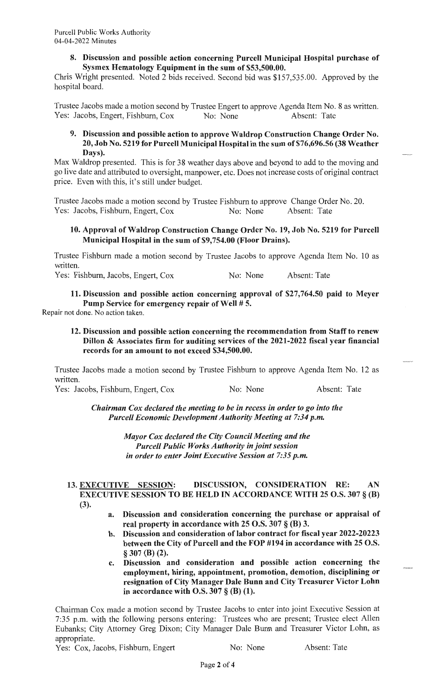## **8. Discussion and possible action concerning Purcell Municipal Hospital purchase of Sysmex Hematology Equipment in the sum of \$53,500.00.**

Chris Wright presented. Noted 2 bids received. Second bid was \$157,535.00. Approved by the hospital board.

Trustee Jacobs made a motion second by Trustee Engert to approve Agenda Item No. 8 as written.<br>
Yes: Jacobs, Engert, Fishburn, Cox No: None Absent: Tate Yes: Jacobs, Engert, Fishburn, Cox No: None

## **9. Discussion and possible action to approve Waldrop Construction Change Order No. 20, Job No. 5219 for Purcell Municipal Hospital in the sum of \$76,696.56 (38 Weather Days).**

Max Waldrop presented. This is for 38 weather days above and beyond to add to the moving and go live date and attributed to oversight, manpower, etc. Does not increase costs of original contract price. Even with this, it's still under budget.

Trustee Jacobs made a motion second by Trustee Fishburn to approve Change Order No. 20.<br>Yes: Jacobs, Fishburn, Engert, Cox No: None Absent: Tate Yes: Jacobs, Fishburn, Engert, Cox No: None

# **10. Approval of Waldrop Construction Change Order No. 19, Job No. 5219 for Purcell Municipal Hospital in the sum of \$9,754.00 (Floor Drains).**

Trustee Fishburn made a motion second by Trustee Jacobs to approve Agenda Item No. 10 as written.

Yes: Fishburn, Jacobs, Engert, Cox No: None Absent: Tate

**11. Discussion and possible action concerning approval of \$27,764.50 paid to Meyer**  Pump Service for emergency repair of Well # 5.

Repair not done. No action taken.

# **12. Discussion and possible action concerning the recommendation from Staff to renew Dillon** & **Associates firm for auditing services of the 2021-2022 fiscal year financial** : records for an amount to not exceed \$34,500.00.

Trustee Jacobs made a motion second by Trustee Fishburn to approve Agenda Item No. 12 as written.

Yes: Jacobs, Fishburn, Engert, Cox No: None Absent: Tate

*Chairman Cox declared the meeting to be in recess in order to go into the Purcell Economic Development Authority Meeting at 7:34 p.m.* 

> *Mayor Cox declared the City Council Meeting and the Purcell Public Works Authority in joint session in order to enter Joint Executive Session at 7:35 p.m.*

# **13. EXECUTIVE SESSION: DISCUSSION, CONSIDERATION RE: AN EXECUTIVE SESSION TO BE HELD IN ACCORDANCE WITH 25 O.S. 307** § **(B)**  (3).

- **a. Discussion and consideration concerning the purchase or appraisal of real property in accordance with 25 O.S.** 307 § **(B) 3.**
- **b. Discussion and consideration of labor contract for fiscal year 2022-20223 between the City of Purcell and the FOP #194 in accordance with 25 O.S.**  § **307 (B) (2).**
- **c. Discussion and consideration and possible** . **action concerning the employment, hiring, appointment, promotion, demotion, disciplining or resignation of City Manager Dale Bunn and City Treasurer Victor Lohn in accordance with O.S. 307** § **(B) (1).**

Chairman Cox made a motion second by Trustee Jacobs to enter into joint Executive Session at 7:35 p.m. with the following persons entering: Trustees who are present; Trustee elect Allen Eubanks; City Attorney Greg Dixon; City Manager Dale Bunn and Treasurer Victor Lohn, as appropriate.

Yes: Cox, Jacobs, Fishburn, Engert No: None Absent: Tate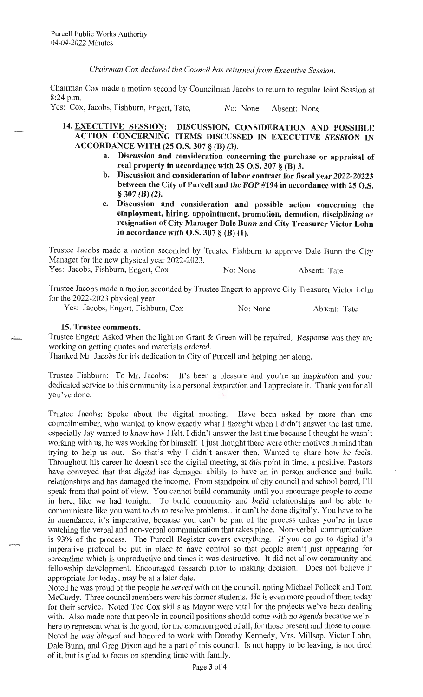*Chairman Cox declared the Council has returned from Executive Session.* 

Chairman Cox made a motion second by Councilman Jacobs to return to regular Joint Session at 8:24 p.m.

Yes: Cox, Jacobs, Fishburn, Engert, Tate, No: None Absent: None

- **14. EXECUTIVE SESSION: DISCUSSION, CONSIDERATION AND POSSIBLE ACTION CONCERNING ITEMS DISCUSSED IN EXECUTIVE SESSION IN ACCORDANCE WITH (25 O.S. 307 § (B) (3).** 
	- **a. Discussion and consideration concerning the purchase or appraisal of real property in accordance with 25 O.S. 307 § (B) 3.**
	- **b. Discussion and consideration of labor contract for fiscal year 2022-20223 between the City of Purcell and the FOP #194 in accordance with 25 O.S.**  § **307 (B) (2).**
	- **c. Discussion and consideration and possible action concerning the employment, hiring, appointment, promotion, demotion, disciplining or resignation of City Manager Dale Bunn and City Treasurer Victor Lohn in accordance with O.S. 307 § (B) (1).**

Trustee Jacobs made a motion seconded by Trustee Fishburn to approve Dale Bunn the City Manager for the new physical year 2022-2023. Yes: Jacobs, Fishburn, Engert, Cox No: None Absent: Tate

Trustee Jacobs made a motion seconded by Trustee Engert to approve City Treasurer Victor Lohn for the 2022-2023 physical year.

Yes: Jacobs, Engert, Fishburn, Cox No: No: None Absent: Tate

#### **15. Trustee comments.**

Trustee Engert: Asked when the light on Grant & Green will be repaired. Response was they are working on getting quotes and materials ordered.

Thanked Mr. Jacobs for his dedication to City of Purcell and helping her along.

Trustee Fishburn: To Mr. Jacobs: It's been a pleasure and you're an inspiration and your dedicated service to this community is a personal inspiration and I appreciate it. Thank you for all you've done.

Trustee Jacobs: Spoke about the digital meeting. Have been asked by more than one counciJmember, who wanted to know exactly what I thought when I didn't answer the last time, especially Jay wanted to know how I felt. I didn't answer the last time because I thought he wasn't working with us, he was working for himself. I just thought there were other motives in mind than trying to help us out. So that's why I didn't answer then. Wanted to share how he feels. Throughout his career he doesn't see the digital meeting, at this point in time, a positive. Pastors have conveyed that that digital has damaged ability to have an in person audience and build relationships and has damaged the income. From standpoint of city council and school board, I'll speak from that point of view. You cannot build community until you encourage people to come in here, like we had tonight. To build community and build relationships and be able to communicate like you want to do to resolve problems ... it can't be done digitally. You have to be in attendance, it's imperative, because you can't be part of the process unless you're in here watching the verbal and non-verbal communication that takes place. Non-verbal communication is 93% of the process. The Purcell Register covers everything. If you do go to digital it's imperative protocol be put in place to have control so that people aren't just appearing for screentime which is unproductive and times it was destructive. It did not allow community and fellowship development. Encouraged research prior to making decision. Does not believe it appropriate for today, may be at a later date.

Noted he was proud of the people he served with on the council, noting Michael Pollock and Tom McCurdy. Three council members were his former students. He is even more proud of them today for their service. Noted Ted Cox skills as Mayor were vital for the projects we've been dealing with. Also made note that people in council positions should come with no agenda because we're here to represent what is the good, for the common good of all, for those present and those to come. Noted he was blessed and honored to work with Dorothy Kennedy, Mrs. Millsap, Victor Lohn, Dale Bunn, and Greg Dixon and be a part of this council. Is not happy to be leaving, is not tired of it, but is glad to focus on spending time with family.